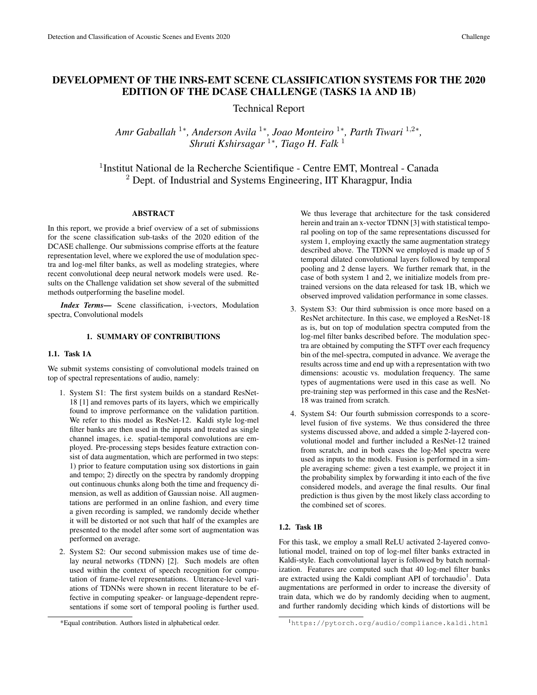# DEVELOPMENT OF THE INRS-EMT SCENE CLASSIFICATION SYSTEMS FOR THE 2020 EDITION OF THE DCASE CHALLENGE (TASKS 1A AND 1B)

Technical Report

*Amr Gaballah* <sup>1</sup>\*, Anderson Avila <sup>1</sup>\*, Joao Monteiro <sup>1</sup>\*, Parth Tiwari <sup>1,2</sup>\*, *Shruti Kshirsagar* <sup>1</sup><sup>∗</sup> *, Tiago H. Falk* <sup>1</sup>

<sup>1</sup>Institut National de la Recherche Scientifique - Centre EMT, Montreal - Canada <sup>2</sup> Dept. of Industrial and Systems Engineering, IIT Kharagpur, India

### ABSTRACT

In this report, we provide a brief overview of a set of submissions for the scene classification sub-tasks of the 2020 edition of the DCASE challenge. Our submissions comprise efforts at the feature representation level, where we explored the use of modulation spectra and log-mel filter banks, as well as modeling strategies, where recent convolutional deep neural network models were used. Results on the Challenge validation set show several of the submitted methods outperforming the baseline model.

*Index Terms*— Scene classification, i-vectors, Modulation spectra, Convolutional models

### 1. SUMMARY OF CONTRIBUTIONS

#### 1.1. Task 1A

We submit systems consisting of convolutional models trained on top of spectral representations of audio, namely:

- 1. System S1: The first system builds on a standard ResNet-18 [1] and removes parts of its layers, which we empirically found to improve performance on the validation partition. We refer to this model as ResNet-12. Kaldi style log-mel filter banks are then used in the inputs and treated as single channel images, i.e. spatial-temporal convolutions are employed. Pre-processing steps besides feature extraction consist of data augmentation, which are performed in two steps: 1) prior to feature computation using sox distortions in gain and tempo; 2) directly on the spectra by randomly dropping out continuous chunks along both the time and frequency dimension, as well as addition of Gaussian noise. All augmentations are performed in an online fashion, and every time a given recording is sampled, we randomly decide whether it will be distorted or not such that half of the examples are presented to the model after some sort of augmentation was performed on average.
- 2. System S2: Our second submission makes use of time delay neural networks (TDNN) [2]. Such models are often used within the context of speech recognition for computation of frame-level representations. Utterance-level variations of TDNNs were shown in recent literature to be effective in computing speaker- or language-dependent representations if some sort of temporal pooling is further used.

We thus leverage that architecture for the task considered herein and train an x-vector TDNN [3] with statistical temporal pooling on top of the same representations discussed for system 1, employing exactly the same augmentation strategy described above. The TDNN we employed is made up of 5 temporal dilated convolutional layers followed by temporal pooling and 2 dense layers. We further remark that, in the case of both system 1 and 2, we initialize models from pretrained versions on the data released for task 1B, which we observed improved validation performance in some classes.

- 3. System S3: Our third submission is once more based on a ResNet architecture. In this case, we employed a ResNet-18 as is, but on top of modulation spectra computed from the log-mel filter banks described before. The modulation spectra are obtained by computing the STFT over each frequency bin of the mel-spectra, computed in advance. We average the results across time and end up with a representation with two dimensions: acoustic vs. modulation frequency. The same types of augmentations were used in this case as well. No pre-training step was performed in this case and the ResNet-18 was trained from scratch.
- 4. System S4: Our fourth submission corresponds to a scorelevel fusion of five systems. We thus considered the three systems discussed above, and added a simple 2-layered convolutional model and further included a ResNet-12 trained from scratch, and in both cases the log-Mel spectra were used as inputs to the models. Fusion is performed in a simple averaging scheme: given a test example, we project it in the probability simplex by forwarding it into each of the five considered models, and average the final results. Our final prediction is thus given by the most likely class according to the combined set of scores.

### 1.2. Task 1B

For this task, we employ a small ReLU activated 2-layered convolutional model, trained on top of log-mel filter banks extracted in Kaldi-style. Each convolutional layer is followed by batch normalization. Features are computed such that 40 log-mel filter banks are extracted using the Kaldi compliant API of torchaudio<sup>1</sup>. Data augmentations are performed in order to increase the diversity of train data, which we do by randomly deciding when to augment, and further randomly deciding which kinds of distortions will be

<sup>\*</sup>Equal contribution. Authors listed in alphabetical order.

<sup>1</sup>https://pytorch.org/audio/compliance.kaldi.html